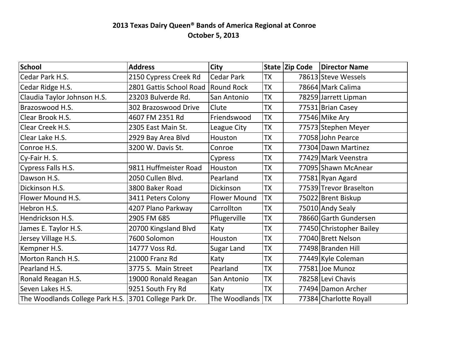## **2013 Texas Dairy Queen® Bands of America Regional at Conroe October 5, 2013**

| School                                                | <b>Address</b>          | City                |           | State Zip Code | <b>Director Name</b>     |
|-------------------------------------------------------|-------------------------|---------------------|-----------|----------------|--------------------------|
| Cedar Park H.S.                                       | 2150 Cypress Creek Rd   | <b>Cedar Park</b>   | <b>TX</b> |                | 78613 Steve Wessels      |
| Cedar Ridge H.S.                                      | 2801 Gattis School Road | <b>Round Rock</b>   | <b>TX</b> |                | 78664 Mark Calima        |
| Claudia Taylor Johnson H.S.                           | 23203 Bulverde Rd.      | San Antonio         | <b>TX</b> |                | 78259 Jarrett Lipman     |
| Brazoswood H.S.                                       | 302 Brazoswood Drive    | Clute               | <b>TX</b> |                | 77531 Brian Casey        |
| Clear Brook H.S.                                      | 4607 FM 2351 Rd         | Friendswood         | <b>TX</b> |                | 77546 Mike Ary           |
| Clear Creek H.S.                                      | 2305 East Main St.      | League City         | <b>TX</b> |                | 77573 Stephen Meyer      |
| Clear Lake H.S.                                       | 2929 Bay Area Blvd      | Houston             | <b>TX</b> |                | 77058 John Pearce        |
| Conroe H.S.                                           | 3200 W. Davis St.       | Conroe              | <b>TX</b> |                | 77304 Dawn Martinez      |
| Cy-Fair H. S.                                         |                         | Cypress             | <b>TX</b> |                | 77429 Mark Veenstra      |
| Cypress Falls H.S.                                    | 9811 Huffmeister Road   | Houston             | <b>TX</b> |                | 77095 Shawn McAnear      |
| Dawson H.S.                                           | 2050 Cullen Blvd.       | Pearland            | <b>TX</b> |                | 77581 Ryan Agard         |
| Dickinson H.S.                                        | 3800 Baker Road         | <b>Dickinson</b>    | <b>TX</b> |                | 77539 Trevor Braselton   |
| Flower Mound H.S.                                     | 3411 Peters Colony      | <b>Flower Mound</b> | <b>TX</b> |                | 75022 Brent Biskup       |
| Hebron H.S.                                           | 4207 Plano Parkway      | Carrollton          | <b>TX</b> |                | 75010 Andy Sealy         |
| Hendrickson H.S.                                      | 2905 FM 685             | Pflugerville        | <b>TX</b> |                | 78660 Garth Gundersen    |
| James E. Taylor H.S.                                  | 20700 Kingsland Blvd    | Katy                | <b>TX</b> |                | 77450 Christopher Bailey |
| Jersey Village H.S.                                   | 7600 Solomon            | Houston             | <b>TX</b> |                | 77040 Brett Nelson       |
| Kempner H.S.                                          | 14777 Voss Rd.          | <b>Sugar Land</b>   | <b>TX</b> |                | 77498 Branden Hill       |
| Morton Ranch H.S.                                     | 21000 Franz Rd          | Katy                | <b>TX</b> |                | 77449 Kyle Coleman       |
| Pearland H.S.                                         | 3775 S. Main Street     | Pearland            | <b>TX</b> |                | 77581 Joe Munoz          |
| Ronald Reagan H.S.                                    | 19000 Ronald Reagan     | San Antonio         | <b>TX</b> |                | 78258 Levi Chavis        |
| Seven Lakes H.S.                                      | 9251 South Fry Rd       | Katy                | <b>TX</b> |                | 77494 Damon Archer       |
| The Woodlands College Park H.S. 3701 College Park Dr. |                         | The Woodlands   TX  |           |                | 77384 Charlotte Royall   |